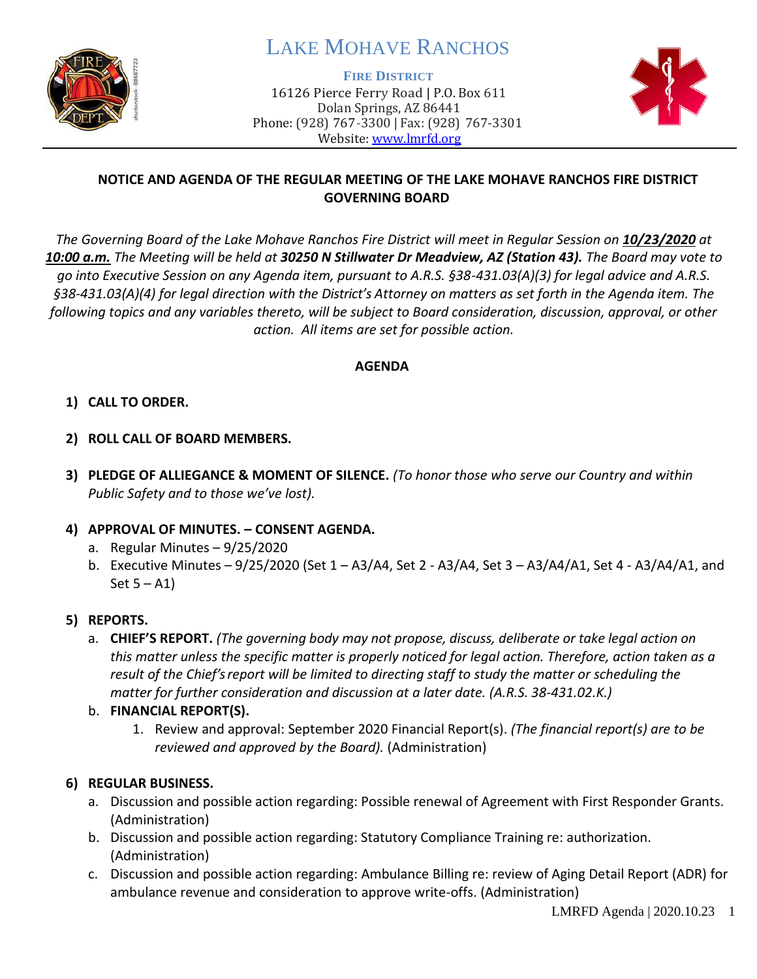

# LAKE MOHAVE RANCHOS

**FIRE DISTRICT**

16126 Pierce Ferry Road | P.O. Box 611 Dolan Springs, AZ 86441 Phone: (928) 767-3300 | Fax: (928) 767-3301 Website: [www.lmrfd.org](http://www.lmrfd.org/)



## **NOTICE AND AGENDA OF THE REGULAR MEETING OF THE LAKE MOHAVE RANCHOS FIRE DISTRICT GOVERNING BOARD**

*The Governing Board of the Lake Mohave Ranchos Fire District will meet in Regular Session on 10/23/2020 at 10:00 a.m. The Meeting will be held at 30250 N Stillwater Dr Meadview, AZ (Station 43). The Board may vote to go into Executive Session on any Agenda item, pursuant to A.R.S. §38-431.03(A)(3) for legal advice and A.R.S. §38-431.03(A)(4) for legal direction with the District's Attorney on matters as set forth in the Agenda item. The following topics and any variables thereto, will be subject to Board consideration, discussion, approval, or other action. All items are set for possible action.* 

## **AGENDA**

## **1) CALL TO ORDER.**

- **2) ROLL CALL OF BOARD MEMBERS.**
- **3) PLEDGE OF ALLIEGANCE & MOMENT OF SILENCE.** *(To honor those who serve our Country and within Public Safety and to those we've lost).*

#### **4) APPROVAL OF MINUTES. – CONSENT AGENDA.**

- a. Regular Minutes 9/25/2020
- b. Executive Minutes 9/25/2020 (Set 1 A3/A4, Set 2 A3/A4, Set 3 A3/A4/A1, Set 4 A3/A4/A1, and Set  $5 - A1$ )

#### **5) REPORTS.**

a. **CHIEF'S REPORT.** *(The governing body may not propose, discuss, deliberate or take legal action on this matter unless the specific matter is properly noticed for legal action. Therefore, action taken as a result of the Chief's report will be limited to directing staff to study the matter or scheduling the matter for further consideration and discussion at a later date. (A.R.S. 38-431.02.K.)*

# b. **FINANCIAL REPORT(S).**

1. Review and approval: September 2020 Financial Report(s). *(The financial report(s) are to be reviewed and approved by the Board).* (Administration)

# **6) REGULAR BUSINESS.**

- a. Discussion and possible action regarding: Possible renewal of Agreement with First Responder Grants. (Administration)
- b. Discussion and possible action regarding: Statutory Compliance Training re: authorization. (Administration)
- c. Discussion and possible action regarding: Ambulance Billing re: review of Aging Detail Report (ADR) for ambulance revenue and consideration to approve write-offs. (Administration)